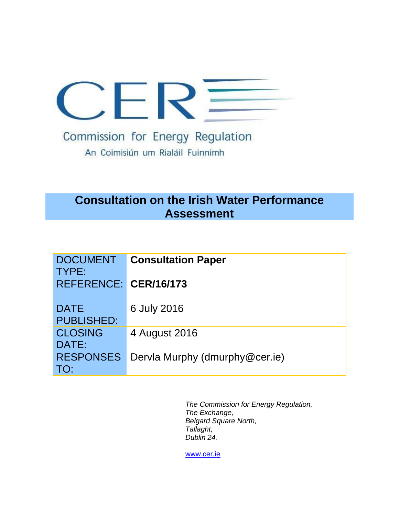

An Coimisiún um Rialáil Fuinnimh

# **Consultation on the Irish Water Performance Assessment**

| <b>DOCUMENT</b><br>TYPE:         | <b>Consultation Paper</b>      |
|----------------------------------|--------------------------------|
| REFERENCE: CER/16/173            |                                |
| <b>DATE</b><br><b>PUBLISHED:</b> | 6 July 2016                    |
| <b>CLOSING</b><br>DATE:          | 4 August 2016                  |
| <b>RESPONSES</b><br>TO:          | Dervla Murphy (dmurphy@cer.ie) |

*The Commission for Energy Regulation, The Exchange, Belgard Square North, Tallaght, Dublin 24.*

[www.cer.ie](http://www.cer.ie/)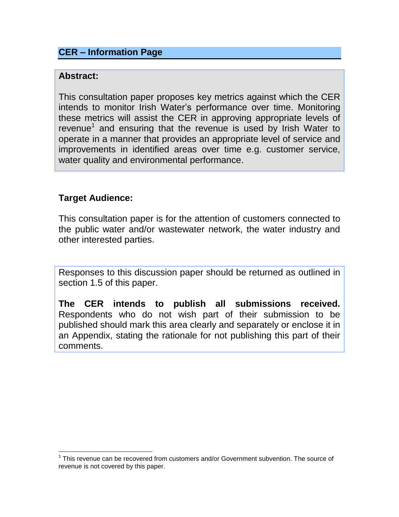## **CER – Information Page**

#### **Abstract:**

<span id="page-1-0"></span>This consultation paper proposes key metrics against which the CER intends to monitor Irish Water's performance over time. Monitoring these metrics will assist the CER in approving appropriate levels of revenue<sup>1</sup> and ensuring that the revenue is used by Irish Water to operate in a manner that provides an appropriate level of service and improvements in identified areas over time e.g. customer service, water quality and environmental performance.

### **Target Audience:**

This consultation paper is for the attention of customers connected to the public water and/or wastewater network, the water industry and other interested parties.

Responses to this discussion paper should be returned as outlined in section 1.5 of this paper.

**The CER intends to publish all submissions received.** Respondents who do not wish part of their submission to be published should mark this area clearly and separately or enclose it in an Appendix, stating the rationale for not publishing this part of their comments.

<sup>&</sup>lt;sup>1</sup> This revenue can be recovered from customers and/or Government subvention. The source of revenue is not covered by this paper.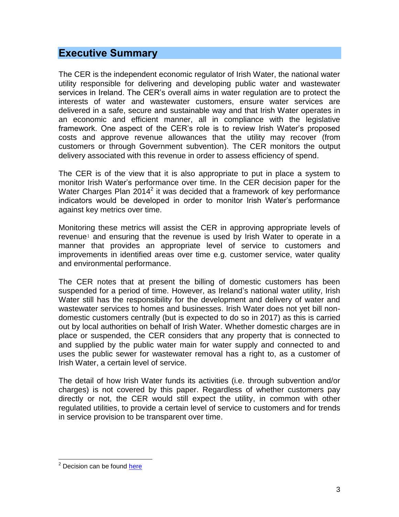## <span id="page-2-0"></span>**Executive Summary**

The CER is the independent economic regulator of Irish Water, the national water utility responsible for delivering and developing public water and wastewater services in Ireland. The CER's overall aims in water regulation are to protect the interests of water and wastewater customers, ensure water services are delivered in a safe, secure and sustainable way and that Irish Water operates in an economic and efficient manner, all in compliance with the legislative framework. One aspect of the CER's role is to review Irish Water's proposed costs and approve revenue allowances that the utility may recover (from customers or through Government subvention). The CER monitors the output delivery associated with this revenue in order to assess efficiency of spend.

The CER is of the view that it is also appropriate to put in place a system to monitor Irish Water's performance over time. In the CER decision paper for the Water Charges Plan  $2014^2$  it was decided that a framework of key performance indicators would be developed in order to monitor Irish Water's performance against key metrics over time.

Monitoring these metrics will assist the CER in approving appropriate levels of revenue<sup>[1](#page-1-0)</sup> and ensuring that the revenue is used by Irish Water to operate in a manner that provides an appropriate level of service to customers and improvements in identified areas over time e.g. customer service, water quality and environmental performance.

The CER notes that at present the billing of domestic customers has been suspended for a period of time. However, as Ireland's national water utility, Irish Water still has the responsibility for the development and delivery of water and wastewater services to homes and businesses. Irish Water does not yet bill nondomestic customers centrally (but is expected to do so in 2017) as this is carried out by local authorities on behalf of Irish Water. Whether domestic charges are in place or suspended, the CER considers that any property that is connected to and supplied by the public water main for water supply and connected to and uses the public sewer for wastewater removal has a right to, as a customer of Irish Water, a certain level of service.

The detail of how Irish Water funds its activities (i.e. through subvention and/or charges) is not covered by this paper. Regardless of whether customers pay directly or not, the CER would still expect the utility, in common with other regulated utilities, to provide a certain level of service to customers and for trends in service provision to be transparent over time.

<sup>&</sup>lt;sup>2</sup> Decision can be found *here*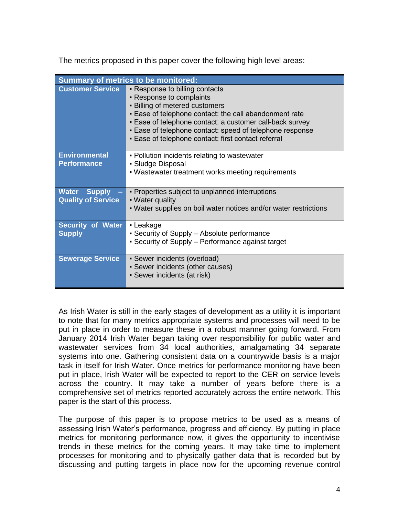The metrics proposed in this paper cover the following high level areas:

| <b>Summary of metrics to be monitored:</b> |                                                                                                                                                                                                                                                                                                                                              |  |
|--------------------------------------------|----------------------------------------------------------------------------------------------------------------------------------------------------------------------------------------------------------------------------------------------------------------------------------------------------------------------------------------------|--|
| <b>Customer Service</b>                    | • Response to billing contacts<br>• Response to complaints<br><b>- Billing of metered customers</b><br>. Ease of telephone contact: the call abandonment rate<br>- Ease of telephone contact: a customer call-back survey<br>. Ease of telephone contact: speed of telephone response<br>- Ease of telephone contact: first contact referral |  |
| <b>Environmental</b>                       | • Pollution incidents relating to wastewater                                                                                                                                                                                                                                                                                                 |  |
| <b>Performance</b>                         | • Sludge Disposal<br>. Wastewater treatment works meeting requirements                                                                                                                                                                                                                                                                       |  |
| <b>Water Supply</b>                        | • Properties subject to unplanned interruptions                                                                                                                                                                                                                                                                                              |  |
| <b>Quality of Service</b>                  | • Water quality<br>- Water supplies on boil water notices and/or water restrictions                                                                                                                                                                                                                                                          |  |
| <b>Security of Water</b>                   | • Leakage                                                                                                                                                                                                                                                                                                                                    |  |
| <b>Supply</b>                              | • Security of Supply – Absolute performance<br>• Security of Supply – Performance against target                                                                                                                                                                                                                                             |  |
| <b>Sewerage Service</b>                    | • Sewer incidents (overload)<br>• Sewer incidents (other causes)                                                                                                                                                                                                                                                                             |  |
|                                            | • Sewer incidents (at risk)                                                                                                                                                                                                                                                                                                                  |  |

As Irish Water is still in the early stages of development as a utility it is important to note that for many metrics appropriate systems and processes will need to be put in place in order to measure these in a robust manner going forward. From January 2014 Irish Water began taking over responsibility for public water and wastewater services from 34 local authorities, amalgamating 34 separate systems into one. Gathering consistent data on a countrywide basis is a major task in itself for Irish Water. Once metrics for performance monitoring have been put in place, Irish Water will be expected to report to the CER on service levels across the country. It may take a number of years before there is a comprehensive set of metrics reported accurately across the entire network. This paper is the start of this process.

The purpose of this paper is to propose metrics to be used as a means of assessing Irish Water's performance, progress and efficiency. By putting in place metrics for monitoring performance now, it gives the opportunity to incentivise trends in these metrics for the coming years. It may take time to implement processes for monitoring and to physically gather data that is recorded but by discussing and putting targets in place now for the upcoming revenue control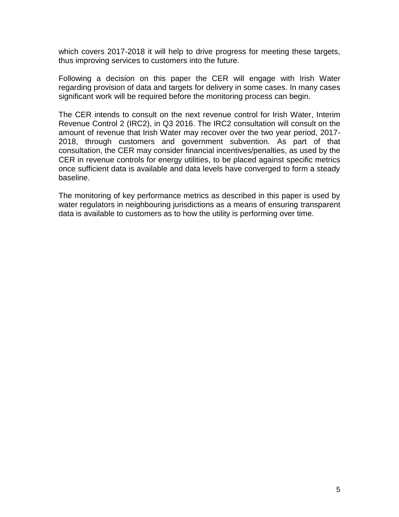which covers 2017-2018 it will help to drive progress for meeting these targets, thus improving services to customers into the future.

Following a decision on this paper the CER will engage with Irish Water regarding provision of data and targets for delivery in some cases. In many cases significant work will be required before the monitoring process can begin.

The CER intends to consult on the next revenue control for Irish Water, Interim Revenue Control 2 (IRC2), in Q3 2016. The IRC2 consultation will consult on the amount of revenue that Irish Water may recover over the two year period, 2017- 2018, through customers and government subvention. As part of that consultation, the CER may consider financial incentives/penalties, as used by the CER in revenue controls for energy utilities, to be placed against specific metrics once sufficient data is available and data levels have converged to form a steady baseline.

The monitoring of key performance metrics as described in this paper is used by water regulators in neighbouring jurisdictions as a means of ensuring transparent data is available to customers as to how the utility is performing over time.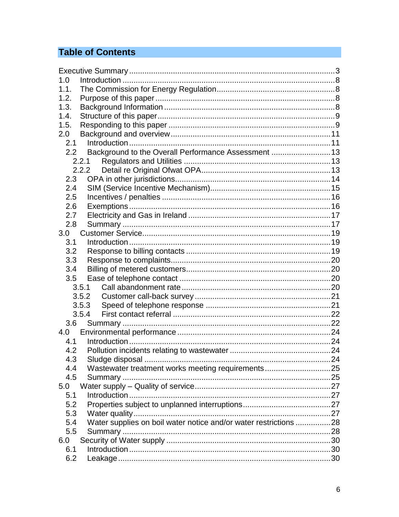# **Table of Contents**

| 1.0  |                                                                  |  |
|------|------------------------------------------------------------------|--|
| 1.1. |                                                                  |  |
| 1.2. |                                                                  |  |
| 1.3. |                                                                  |  |
| 1.4. |                                                                  |  |
| 1.5. |                                                                  |  |
| 2.0  |                                                                  |  |
| 2.1  |                                                                  |  |
|      | 2.2 Background to the Overall Performance Assessment  13         |  |
|      | 2.2.1                                                            |  |
|      | 2.2.2                                                            |  |
| 2.3  |                                                                  |  |
| 2.4  |                                                                  |  |
| 2.5  |                                                                  |  |
| 2.6  |                                                                  |  |
| 2.7  |                                                                  |  |
| 2.8  |                                                                  |  |
| 3.0  |                                                                  |  |
| 3.1  |                                                                  |  |
| 3.2  |                                                                  |  |
| 3.3  |                                                                  |  |
| 3.4  |                                                                  |  |
| 3.5  |                                                                  |  |
|      | 3.5.1                                                            |  |
|      | 3.5.2                                                            |  |
|      | 3.5.3                                                            |  |
|      | 3.5.4                                                            |  |
| 3.6  |                                                                  |  |
| 4.0  |                                                                  |  |
| 4.1  |                                                                  |  |
| 4.2  |                                                                  |  |
| 4.3  |                                                                  |  |
| 4.4  | Wastewater treatment works meeting requirements25                |  |
| 4.5  |                                                                  |  |
| 5.0  |                                                                  |  |
| 5.1  |                                                                  |  |
| 5.2  |                                                                  |  |
| 5.3  |                                                                  |  |
| 5.4  | Water supplies on boil water notice and/or water restrictions 28 |  |
| 5.5  |                                                                  |  |
| 6.0  |                                                                  |  |
| 6.1  |                                                                  |  |
| 6.2  |                                                                  |  |
|      |                                                                  |  |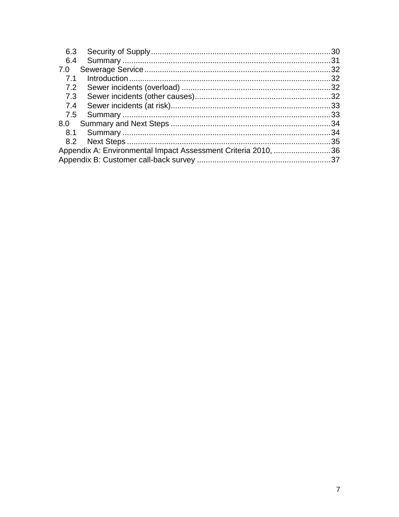| 6.3                                                           |  | .30 |
|---------------------------------------------------------------|--|-----|
| 6.4                                                           |  |     |
| 7.0                                                           |  |     |
| 7.1                                                           |  |     |
| 7.2                                                           |  |     |
| 7.3                                                           |  |     |
| 7.4                                                           |  |     |
|                                                               |  |     |
| 8.0                                                           |  |     |
| 8.1                                                           |  |     |
|                                                               |  | .35 |
| Appendix A: Environmental Impact Assessment Criteria 2010, 36 |  |     |
|                                                               |  |     |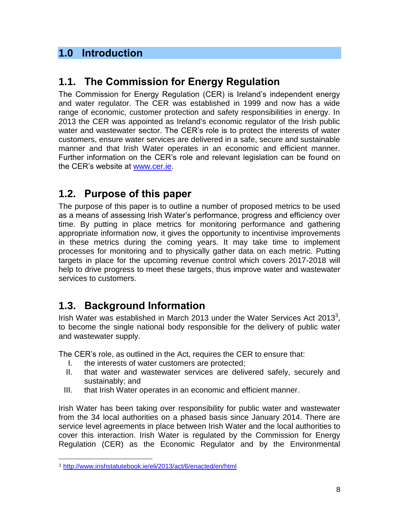# <span id="page-7-0"></span>**1.0 Introduction**

# <span id="page-7-1"></span>**1.1. The Commission for Energy Regulation**

The Commission for Energy Regulation (CER) is Ireland's independent energy and water regulator. The CER was established in 1999 and now has a wide range of economic, customer protection and safety responsibilities in energy. In 2013 the CER was appointed as Ireland's economic regulator of the Irish public water and wastewater sector. The CER's role is to protect the interests of water customers, ensure water services are delivered in a safe, secure and sustainable manner and that Irish Water operates in an economic and efficient manner. Further information on the CER's role and relevant legislation can be found on the CER's website at [www.cer.ie.](http://www.cer.ie/)

# <span id="page-7-2"></span>**1.2. Purpose of this paper**

The purpose of this paper is to outline a number of proposed metrics to be used as a means of assessing Irish Water's performance, progress and efficiency over time. By putting in place metrics for monitoring performance and gathering appropriate information now, it gives the opportunity to incentivise improvements in these metrics during the coming years. It may take time to implement processes for monitoring and to physically gather data on each metric. Putting targets in place for the upcoming revenue control which covers 2017-2018 will help to drive progress to meet these targets, thus improve water and wastewater services to customers.

# <span id="page-7-3"></span>**1.3. Background Information**

Irish Water was established in March 2013 under the Water Services Act 2013<sup>3</sup>, to become the single national body responsible for the delivery of public water and wastewater supply.

The CER's role, as outlined in the Act, requires the CER to ensure that:

- I. the interests of water customers are protected;
- II. that water and wastewater services are delivered safely, securely and sustainably; and
- III. that Irish Water operates in an economic and efficient manner.

Irish Water has been taking over responsibility for public water and wastewater from the 34 local authorities on a phased basis since January 2014. There are service level agreements in place between Irish Water and the local authorities to cover this interaction. Irish Water is regulated by the Commission for Energy Regulation (CER) as the Economic Regulator and by the Environmental

<sup>3</sup> <http://www.irishstatutebook.ie/eli/2013/act/6/enacted/en/html>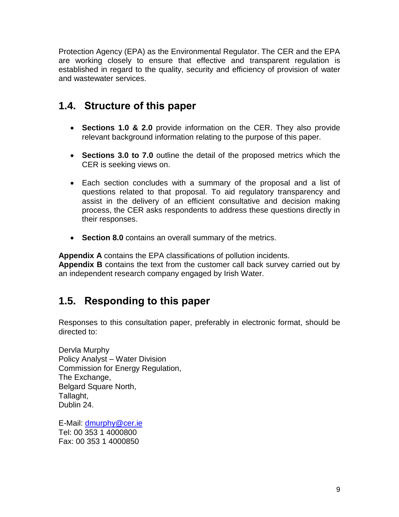Protection Agency (EPA) as the Environmental Regulator. The CER and the EPA are working closely to ensure that effective and transparent regulation is established in regard to the quality, security and efficiency of provision of water and wastewater services.

# <span id="page-8-0"></span>**1.4. Structure of this paper**

- **Sections 1.0 & 2.0** provide information on the CER. They also provide relevant background information relating to the purpose of this paper.
- **Sections 3.0 to 7.0** outline the detail of the proposed metrics which the CER is seeking views on.
- Each section concludes with a summary of the proposal and a list of questions related to that proposal. To aid regulatory transparency and assist in the delivery of an efficient consultative and decision making process, the CER asks respondents to address these questions directly in their responses.
- **Section 8.0** contains an overall summary of the metrics.

**Appendix A** contains the EPA classifications of pollution incidents. **Appendix B** contains the text from the customer call back survey carried out by an independent research company engaged by Irish Water.

# <span id="page-8-1"></span>**1.5. Responding to this paper**

Responses to this consultation paper, preferably in electronic format, should be directed to:

Dervla Murphy Policy Analyst – Water Division Commission for Energy Regulation, The Exchange, Belgard Square North, Tallaght, Dublin 24.

E-Mail: [dmurphy@cer.ie](mailto:dmurphy@cer.ie) Tel: 00 353 1 4000800 Fax: 00 353 1 4000850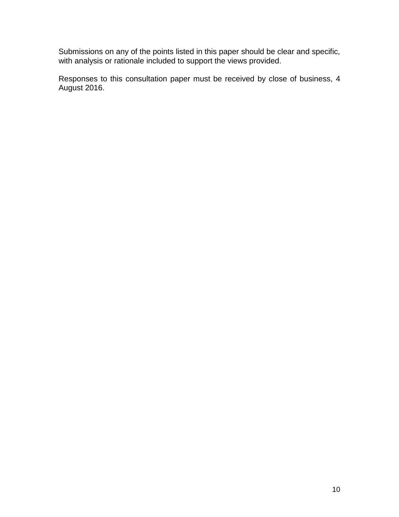Submissions on any of the points listed in this paper should be clear and specific, with analysis or rationale included to support the views provided.

Responses to this consultation paper must be received by close of business, 4 August 2016.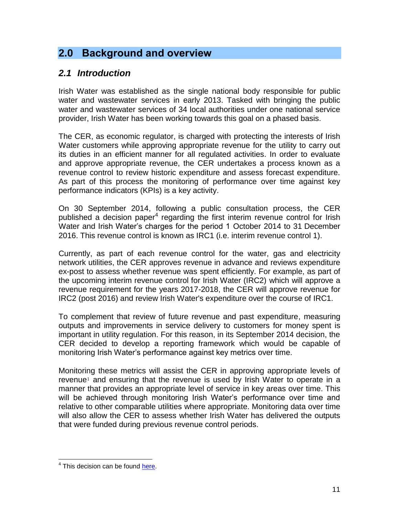# <span id="page-10-0"></span>**2.0 Background and overview**

## <span id="page-10-1"></span>*2.1 Introduction*

Irish Water was established as the single national body responsible for public water and wastewater services in early 2013. Tasked with bringing the public water and wastewater services of 34 local authorities under one national service provider, Irish Water has been working towards this goal on a phased basis.

The CER, as economic regulator, is charged with protecting the interests of Irish Water customers while approving appropriate revenue for the utility to carry out its duties in an efficient manner for all regulated activities. In order to evaluate and approve appropriate revenue, the CER undertakes a process known as a revenue control to review historic expenditure and assess forecast expenditure. As part of this process the monitoring of performance over time against key performance indicators (KPIs) is a key activity.

On 30 September 2014, following a public consultation process, the CER published a decision paper<sup>4</sup> regarding the first interim revenue control for Irish Water and Irish Water's charges for the period 1 October 2014 to 31 December 2016. This revenue control is known as IRC1 (i.e. interim revenue control 1).

Currently, as part of each revenue control for the water, gas and electricity network utilities, the CER approves revenue in advance and reviews expenditure ex-post to assess whether revenue was spent efficiently. For example, as part of the upcoming interim revenue control for Irish Water (IRC2) which will approve a revenue requirement for the years 2017-2018, the CER will approve revenue for IRC2 (post 2016) and review Irish Water's expenditure over the course of IRC1.

To complement that review of future revenue and past expenditure, measuring outputs and improvements in service delivery to customers for money spent is important in utility regulation. For this reason, in its September 2014 decision, the CER decided to develop a reporting framework which would be capable of monitoring Irish Water's performance against key metrics over time.

Monitoring these metrics will assist the CER in approving appropriate levels of revenue<sup>[1](#page-1-0)</sup> and ensuring that the revenue is used by Irish Water to operate in a manner that provides an appropriate level of service in key areas over time. This will be achieved through monitoring Irish Water's performance over time and relative to other comparable utilities where appropriate. Monitoring data over time will also allow the CER to assess whether Irish Water has delivered the outputs that were funded during previous revenue control periods.

<sup>&</sup>lt;sup>4</sup> This decision can be found [here.](http://www.cer.ie/document-detail/CER-Water-Charges-Plan-Decision-2014/979/7039,7008)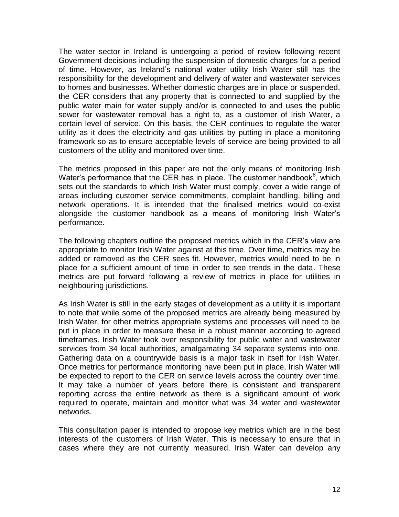The water sector in Ireland is undergoing a period of review following recent Government decisions including the suspension of domestic charges for a period of time. However, as Ireland's national water utility Irish Water still has the responsibility for the development and delivery of water and wastewater services to homes and businesses. Whether domestic charges are in place or suspended, the CER considers that any property that is connected to and supplied by the public water main for water supply and/or is connected to and uses the public sewer for wastewater removal has a right to, as a customer of Irish Water, a certain level of service. On this basis, the CER continues to regulate the water utility as it does the electricity and gas utilities by putting in place a monitoring framework so as to ensure acceptable levels of service are being provided to all customers of the utility and monitored over time.

The metrics proposed in this paper are not the only means of monitoring Irish Water's performance that the CER has in place. The customer handbook<sup>[8](#page-19-4)</sup>, which sets out the standards to which Irish Water must comply, cover a wide range of areas including customer service commitments, complaint handling, billing and network operations. It is intended that the finalised metrics would co-exist alongside the customer handbook as a means of monitoring Irish Water's performance.

The following chapters outline the proposed metrics which in the CER's view are appropriate to monitor Irish Water against at this time. Over time, metrics may be added or removed as the CER sees fit. However, metrics would need to be in place for a sufficient amount of time in order to see trends in the data. These metrics are put forward following a review of metrics in place for utilities in neighbouring jurisdictions.

As Irish Water is still in the early stages of development as a utility it is important to note that while some of the proposed metrics are already being measured by Irish Water, for other metrics appropriate systems and processes will need to be put in place in order to measure these in a robust manner according to agreed timeframes. Irish Water took over responsibility for public water and wastewater services from 34 local authorities, amalgamating 34 separate systems into one. Gathering data on a countrywide basis is a major task in itself for Irish Water. Once metrics for performance monitoring have been put in place, Irish Water will be expected to report to the CER on service levels across the country over time. It may take a number of years before there is consistent and transparent reporting across the entire network as there is a significant amount of work required to operate, maintain and monitor what was 34 water and wastewater networks.

This consultation paper is intended to propose key metrics which are in the best interests of the customers of Irish Water. This is necessary to ensure that in cases where they are not currently measured, Irish Water can develop any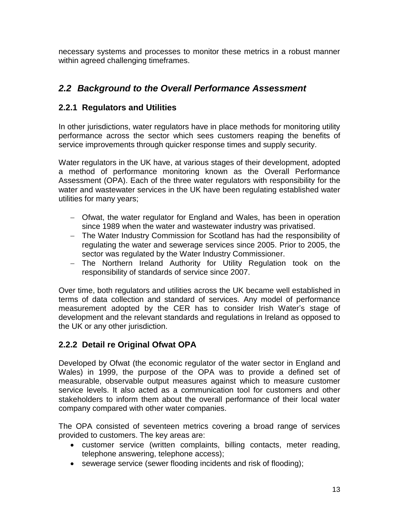necessary systems and processes to monitor these metrics in a robust manner within agreed challenging timeframes.

## <span id="page-12-0"></span>*2.2 Background to the Overall Performance Assessment*

## <span id="page-12-1"></span>**2.2.1 Regulators and Utilities**

In other jurisdictions, water regulators have in place methods for monitoring utility performance across the sector which sees customers reaping the benefits of service improvements through quicker response times and supply security.

Water regulators in the UK have, at various stages of their development, adopted a method of performance monitoring known as the Overall Performance Assessment (OPA). Each of the three water regulators with responsibility for the water and wastewater services in the UK have been regulating established water utilities for many years;

- Ofwat, the water regulator for England and Wales, has been in operation since 1989 when the water and wastewater industry was privatised.
- The Water Industry Commission for Scotland has had the responsibility of regulating the water and sewerage services since 2005. Prior to 2005, the sector was regulated by the Water Industry Commissioner.
- The Northern Ireland Authority for Utility Regulation took on the responsibility of standards of service since 2007.

Over time, both regulators and utilities across the UK became well established in terms of data collection and standard of services. Any model of performance measurement adopted by the CER has to consider Irish Water's stage of development and the relevant standards and regulations in Ireland as opposed to the UK or any other jurisdiction.

## <span id="page-12-2"></span>**2.2.2 Detail re Original Ofwat OPA**

Developed by Ofwat (the economic regulator of the water sector in England and Wales) in 1999, the purpose of the OPA was to provide a defined set of measurable, observable output measures against which to measure customer service levels. It also acted as a communication tool for customers and other stakeholders to inform them about the overall performance of their local water company compared with other water companies.

The OPA consisted of seventeen metrics covering a broad range of services provided to customers. The key areas are:

- customer service (written complaints, billing contacts, meter reading, telephone answering, telephone access);
- sewerage service (sewer flooding incidents and risk of flooding);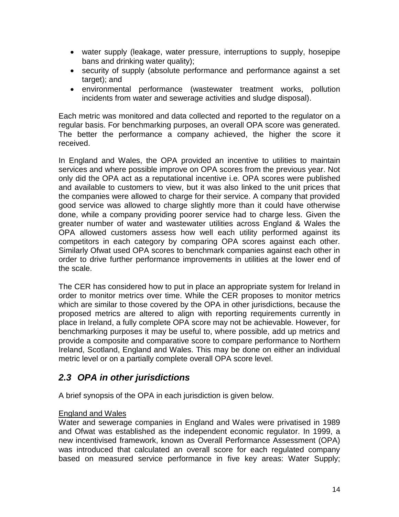- water supply (leakage, water pressure, interruptions to supply, hosepipe bans and drinking water quality);
- security of supply (absolute performance and performance against a set target); and
- environmental performance (wastewater treatment works, pollution incidents from water and sewerage activities and sludge disposal).

Each metric was monitored and data collected and reported to the regulator on a regular basis. For benchmarking purposes, an overall OPA score was generated. The better the performance a company achieved, the higher the score it received.

In England and Wales, the OPA provided an incentive to utilities to maintain services and where possible improve on OPA scores from the previous year. Not only did the OPA act as a reputational incentive i.e. OPA scores were published and available to customers to view, but it was also linked to the unit prices that the companies were allowed to charge for their service. A company that provided good service was allowed to charge slightly more than it could have otherwise done, while a company providing poorer service had to charge less. Given the greater number of water and wastewater utilities across England & Wales the OPA allowed customers assess how well each utility performed against its competitors in each category by comparing OPA scores against each other. Similarly Ofwat used OPA scores to benchmark companies against each other in order to drive further performance improvements in utilities at the lower end of the scale.

The CER has considered how to put in place an appropriate system for Ireland in order to monitor metrics over time. While the CER proposes to monitor metrics which are similar to those covered by the OPA in other jurisdictions, because the proposed metrics are altered to align with reporting requirements currently in place in Ireland, a fully complete OPA score may not be achievable. However, for benchmarking purposes it may be useful to, where possible, add up metrics and provide a composite and comparative score to compare performance to Northern Ireland, Scotland, England and Wales. This may be done on either an individual metric level or on a partially complete overall OPA score level.

## <span id="page-13-0"></span>*2.3 OPA in other jurisdictions*

A brief synopsis of the OPA in each jurisdiction is given below.

#### England and Wales

Water and sewerage companies in England and Wales were privatised in 1989 and Ofwat was established as the independent economic regulator. In 1999, a new incentivised framework, known as Overall Performance Assessment (OPA) was introduced that calculated an overall score for each regulated company based on measured service performance in five key areas: Water Supply;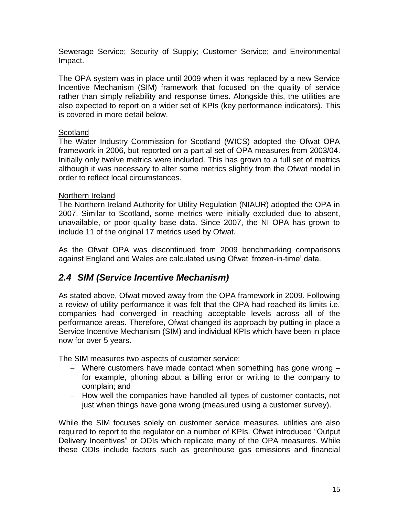Sewerage Service; Security of Supply; Customer Service; and Environmental Impact.

The OPA system was in place until 2009 when it was replaced by a new Service Incentive Mechanism (SIM) framework that focused on the quality of service rather than simply reliability and response times. Alongside this, the utilities are also expected to report on a wider set of KPIs (key performance indicators). This is covered in more detail below.

#### **Scotland**

The Water Industry Commission for Scotland (WICS) adopted the Ofwat OPA framework in 2006, but reported on a partial set of OPA measures from 2003/04. Initially only twelve metrics were included. This has grown to a full set of metrics although it was necessary to alter some metrics slightly from the Ofwat model in order to reflect local circumstances.

#### Northern Ireland

The Northern Ireland Authority for Utility Regulation (NIAUR) adopted the OPA in 2007. Similar to Scotland, some metrics were initially excluded due to absent, unavailable, or poor quality base data. Since 2007, the NI OPA has grown to include 11 of the original 17 metrics used by Ofwat.

As the Ofwat OPA was discontinued from 2009 benchmarking comparisons against England and Wales are calculated using Ofwat 'frozen-in-time' data.

## <span id="page-14-0"></span>*2.4 SIM (Service Incentive Mechanism)*

As stated above, Ofwat moved away from the OPA framework in 2009. Following a review of utility performance it was felt that the OPA had reached its limits i.e. companies had converged in reaching acceptable levels across all of the performance areas. Therefore, Ofwat changed its approach by putting in place a Service Incentive Mechanism (SIM) and individual KPIs which have been in place now for over 5 years.

The SIM measures two aspects of customer service:

- $-$  Where customers have made contact when something has gone wrong  $$ for example, phoning about a billing error or writing to the company to complain; and
- How well the companies have handled all types of customer contacts, not just when things have gone wrong (measured using a customer survey).

While the SIM focuses solely on customer service measures, utilities are also required to report to the regulator on a number of KPIs. Ofwat introduced "Output Delivery Incentives" or ODIs which replicate many of the OPA measures. While these ODIs include factors such as greenhouse gas emissions and financial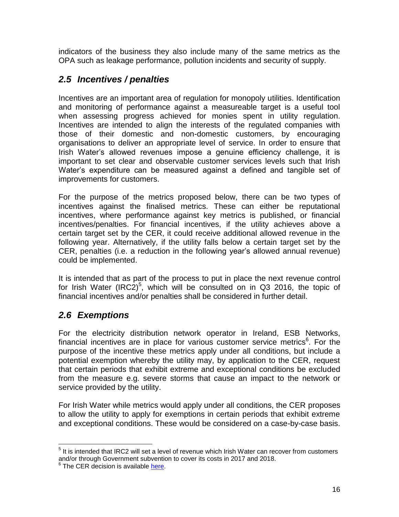indicators of the business they also include many of the same metrics as the OPA such as leakage performance, pollution incidents and security of supply.

## <span id="page-15-0"></span>*2.5 Incentives / penalties*

Incentives are an important area of regulation for monopoly utilities. Identification and monitoring of performance against a measureable target is a useful tool when assessing progress achieved for monies spent in utility regulation. Incentives are intended to align the interests of the regulated companies with those of their domestic and non-domestic customers, by encouraging organisations to deliver an appropriate level of service. In order to ensure that Irish Water's allowed revenues impose a genuine efficiency challenge, it is important to set clear and observable customer services levels such that Irish Water's expenditure can be measured against a defined and tangible set of improvements for customers.

For the purpose of the metrics proposed below, there can be two types of incentives against the finalised metrics. These can either be reputational incentives, where performance against key metrics is published, or financial incentives/penalties. For financial incentives, if the utility achieves above a certain target set by the CER, it could receive additional allowed revenue in the following year. Alternatively, if the utility falls below a certain target set by the CER, penalties (i.e. a reduction in the following year's allowed annual revenue) could be implemented.

It is intended that as part of the process to put in place the next revenue control for Irish Water (IRC2)<sup>5</sup>, which will be consulted on in Q3 2016, the topic of financial incentives and/or penalties shall be considered in further detail.

## <span id="page-15-1"></span>*2.6 Exemptions*

For the electricity distribution network operator in Ireland, ESB Networks, financial incentives are in place for various customer service metrics<sup>6</sup>. For the purpose of the incentive these metrics apply under all conditions, but include a potential exemption whereby the utility may, by application to the CER, request that certain periods that exhibit extreme and exceptional conditions be excluded from the measure e.g. severe storms that cause an impact to the network or service provided by the utility.

For Irish Water while metrics would apply under all conditions, the CER proposes to allow the utility to apply for exemptions in certain periods that exhibit extreme and exceptional conditions. These would be considered on a case-by-case basis.

<sup>&</sup>lt;u>Fired that the metal consections of the setting</u><br><sup>5</sup> It is intended that IRC2 will set a level of revenue which Irish Water can recover from customers and/or through Government subvention to cover its costs in 2017 and 2018.<br><sup>6</sup> The CER decision is available <u>here</u>.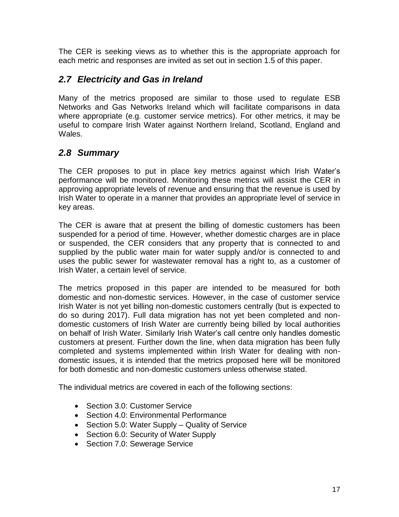The CER is seeking views as to whether this is the appropriate approach for each metric and responses are invited as set out in section 1.5 of this paper.

## <span id="page-16-0"></span>*2.7 Electricity and Gas in Ireland*

Many of the metrics proposed are similar to those used to regulate ESB Networks and Gas Networks Ireland which will facilitate comparisons in data where appropriate (e.g. customer service metrics). For other metrics, it may be useful to compare Irish Water against Northern Ireland, Scotland, England and Wales.

## <span id="page-16-1"></span>*2.8 Summary*

The CER proposes to put in place key metrics against which Irish Water's performance will be monitored. Monitoring these metrics will assist the CER in approving appropriate levels of revenue and ensuring that the revenue is used by Irish Water to operate in a manner that provides an appropriate level of service in key areas.

The CER is aware that at present the billing of domestic customers has been suspended for a period of time. However, whether domestic charges are in place or suspended, the CER considers that any property that is connected to and supplied by the public water main for water supply and/or is connected to and uses the public sewer for wastewater removal has a right to, as a customer of Irish Water, a certain level of service.

The metrics proposed in this paper are intended to be measured for both domestic and non-domestic services. However, in the case of customer service Irish Water is not yet billing non-domestic customers centrally (but is expected to do so during 2017). Full data migration has not yet been completed and nondomestic customers of Irish Water are currently being billed by local authorities on behalf of Irish Water. Similarly Irish Water's call centre only handles domestic customers at present. Further down the line, when data migration has been fully completed and systems implemented within Irish Water for dealing with nondomestic issues, it is intended that the metrics proposed here will be monitored for both domestic and non-domestic customers unless otherwise stated.

The individual metrics are covered in each of the following sections:

- Section 3.0: Customer Service
- Section 4.0: Environmental Performance
- Section 5.0: Water Supply Quality of Service
- Section 6.0: Security of Water Supply
- Section 7.0: Sewerage Service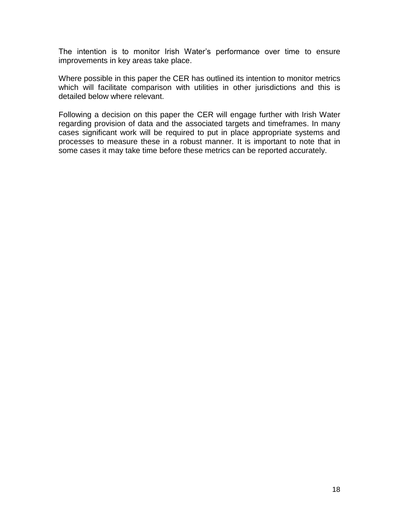The intention is to monitor Irish Water's performance over time to ensure improvements in key areas take place.

Where possible in this paper the CER has outlined its intention to monitor metrics which will facilitate comparison with utilities in other jurisdictions and this is detailed below where relevant.

Following a decision on this paper the CER will engage further with Irish Water regarding provision of data and the associated targets and timeframes. In many cases significant work will be required to put in place appropriate systems and processes to measure these in a robust manner. It is important to note that in some cases it may take time before these metrics can be reported accurately.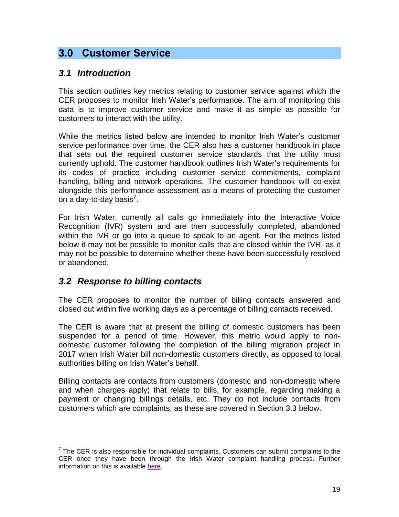## <span id="page-18-0"></span>**3.0 Customer Service**

#### <span id="page-18-1"></span>*3.1 Introduction*

This section outlines key metrics relating to customer service against which the CER proposes to monitor Irish Water's performance. The aim of monitoring this data is to improve customer service and make it as simple as possible for customers to interact with the utility.

While the metrics listed below are intended to monitor Irish Water's customer service performance over time, the CER also has a customer handbook in place that sets out the required customer service standards that the utility must currently uphold. The customer handbook outlines Irish Water's requirements for its codes of practice including customer service commitments, complaint handling, billing and network operations. The customer handbook will co-exist alongside this performance assessment as a means of protecting the customer on a day-to-day basis<sup>7</sup>.

For Irish Water, currently all calls go immediately into the Interactive Voice Recognition (IVR) system and are then successfully completed, abandoned within the IVR or go into a queue to speak to an agent. For the metrics listed below it may not be possible to monitor calls that are closed within the IVR, as it may not be possible to determine whether these have been successfully resolved or abandoned.

#### <span id="page-18-2"></span>*3.2 Response to billing contacts*

The CER proposes to monitor the number of billing contacts answered and closed out within five working days as a percentage of billing contacts received.

The CER is aware that at present the billing of domestic customers has been suspended for a period of time. However, this metric would apply to nondomestic customer following the completion of the billing migration project in 2017 when Irish Water bill non-domestic customers directly, as opposed to local authorities billing on Irish Water's behalf.

Billing contacts are contacts from customers (domestic and non-domestic where and when charges apply) that relate to bills, for example, regarding making a payment or changing billings details, etc. They do not include contacts from customers which are complaints, as these are covered in Section 3.3 below.

<sup>————————————————————&</sup>lt;br><sup>7</sup> The CER is also responsible for individual complaints. Customers can submit complaints to the CER once they have been through the Irish Water complaint handling process. Further information on this is available [here.](http://www.cer.ie/customer-care/water/complaints)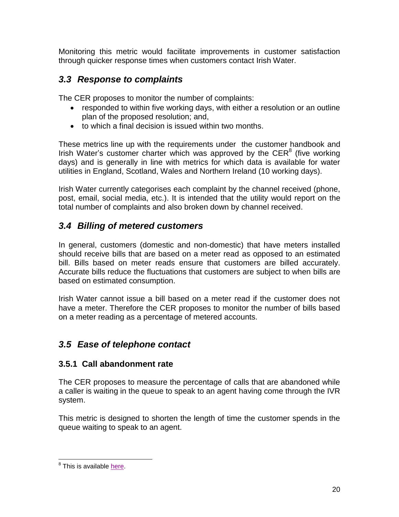Monitoring this metric would facilitate improvements in customer satisfaction through quicker response times when customers contact Irish Water.

## <span id="page-19-0"></span>*3.3 Response to complaints*

The CER proposes to monitor the number of complaints:

- responded to within five working days, with either a resolution or an outline plan of the proposed resolution; and,
- <span id="page-19-4"></span>to which a final decision is issued within two months.

These metrics line up with the requirements under the customer handbook and Irish Water's customer charter which was approved by the CER $<sup>8</sup>$  (five working</sup> days) and is generally in line with metrics for which data is available for water utilities in England, Scotland, Wales and Northern Ireland (10 working days).

Irish Water currently categorises each complaint by the channel received (phone, post, email, social media, etc.). It is intended that the utility would report on the total number of complaints and also broken down by channel received.

## <span id="page-19-1"></span>*3.4 Billing of metered customers*

In general, customers (domestic and non-domestic) that have meters installed should receive bills that are based on a meter read as opposed to an estimated bill. Bills based on meter reads ensure that customers are billed accurately. Accurate bills reduce the fluctuations that customers are subject to when bills are based on estimated consumption.

Irish Water cannot issue a bill based on a meter read if the customer does not have a meter. Therefore the CER proposes to monitor the number of bills based on a meter reading as a percentage of metered accounts.

## <span id="page-19-2"></span>*3.5 Ease of telephone contact*

## <span id="page-19-3"></span>**3.5.1 Call abandonment rate**

The CER proposes to measure the percentage of calls that are abandoned while a caller is waiting in the queue to speak to an agent having come through the IVR system.

This metric is designed to shorten the length of time the customer spends in the queue waiting to speak to an agent.

 8 This is available [here.](http://www.cer.ie/docs/001009/CER15010%20Irish%20Water%20Customer%20Handbook%20(1).pdf)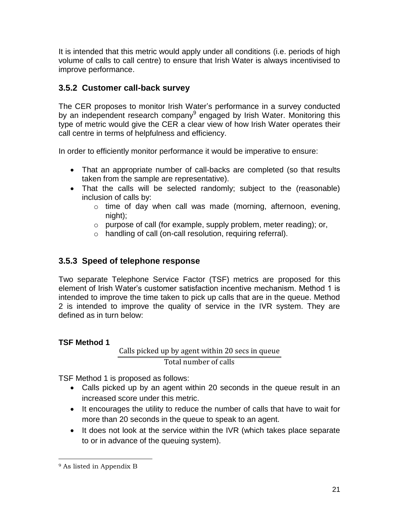It is intended that this metric would apply under all conditions (i.e. periods of high volume of calls to call centre) to ensure that Irish Water is always incentivised to improve performance.

## <span id="page-20-0"></span>**3.5.2 Customer call-back survey**

The CER proposes to monitor Irish Water's performance in a survey conducted by an independent research company<sup>9</sup> engaged by Irish Water. Monitoring this type of metric would give the CER a clear view of how Irish Water operates their call centre in terms of helpfulness and efficiency.

In order to efficiently monitor performance it would be imperative to ensure:

- That an appropriate number of call-backs are completed (so that results taken from the sample are representative).
- That the calls will be selected randomly; subject to the (reasonable) inclusion of calls by:
	- o time of day when call was made (morning, afternoon, evening, night);
	- o purpose of call (for example, supply problem, meter reading); or,
	- o handling of call (on-call resolution, requiring referral).

## <span id="page-20-1"></span>**3.5.3 Speed of telephone response**

Two separate Telephone Service Factor (TSF) metrics are proposed for this element of Irish Water's customer satisfaction incentive mechanism. Method 1 is intended to improve the time taken to pick up calls that are in the queue. Method 2 is intended to improve the quality of service in the IVR system. They are defined as in turn below:

## **TSF Method 1**

Calls picked up by agent within 20 secs in queue Total number of calls

TSF Method 1 is proposed as follows:

- Calls picked up by an agent within 20 seconds in the queue result in an increased score under this metric.
- It encourages the utility to reduce the number of calls that have to wait for more than 20 seconds in the queue to speak to an agent.
- It does not look at the service within the IVR (which takes place separate to or in advance of the queuing system).

 <sup>9</sup> As listed in Appendix B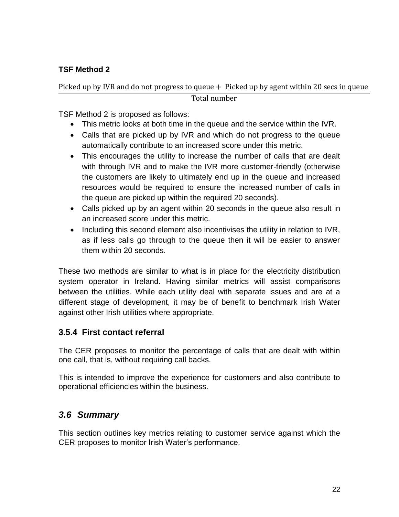#### **TSF Method 2**

#### Picked up by IVR and do not progress to queue + Picked up by agent within 20 secs in queue Total number

TSF Method 2 is proposed as follows:

- This metric looks at both time in the queue and the service within the IVR.
- Calls that are picked up by IVR and which do not progress to the queue automatically contribute to an increased score under this metric.
- This encourages the utility to increase the number of calls that are dealt with through IVR and to make the IVR more customer-friendly (otherwise the customers are likely to ultimately end up in the queue and increased resources would be required to ensure the increased number of calls in the queue are picked up within the required 20 seconds).
- Calls picked up by an agent within 20 seconds in the queue also result in an increased score under this metric.
- Including this second element also incentivises the utility in relation to IVR, as if less calls go through to the queue then it will be easier to answer them within 20 seconds.

These two methods are similar to what is in place for the electricity distribution system operator in Ireland. Having similar metrics will assist comparisons between the utilities. While each utility deal with separate issues and are at a different stage of development, it may be of benefit to benchmark Irish Water against other Irish utilities where appropriate.

#### <span id="page-21-0"></span>**3.5.4 First contact referral**

The CER proposes to monitor the percentage of calls that are dealt with within one call, that is, without requiring call backs.

This is intended to improve the experience for customers and also contribute to operational efficiencies within the business.

## <span id="page-21-1"></span>*3.6 Summary*

This section outlines key metrics relating to customer service against which the CER proposes to monitor Irish Water's performance.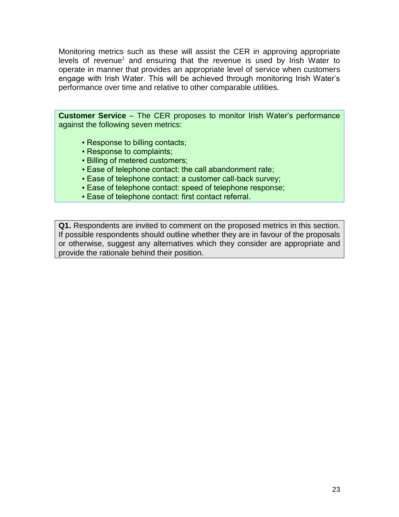Monitoring metrics such as these will assist the CER in approving appropriate l[e](#page-1-0)vels of revenue<sup>1</sup> and ensuring that the revenue is used by Irish Water to operate in manner that provides an appropriate level of service when customers engage with Irish Water. This will be achieved through monitoring Irish Water's performance over time and relative to other comparable utilities.

**Customer Service** – The CER proposes to monitor Irish Water's performance against the following seven metrics:

- Response to billing contacts;
- Response to complaints;
- **Billing of metered customers;**
- Ease of telephone contact: the call abandonment rate;
- Ease of telephone contact: a customer call-back survey;
- Ease of telephone contact: speed of telephone response;
- **Ease of telephone contact: first contact referral.**

**Q1.** Respondents are invited to comment on the proposed metrics in this section. If possible respondents should outline whether they are in favour of the proposals or otherwise, suggest any alternatives which they consider are appropriate and provide the rationale behind their position.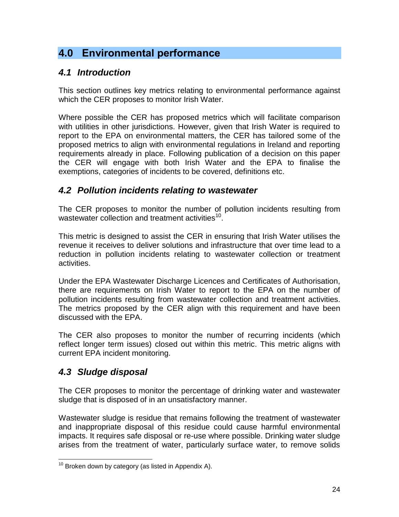# <span id="page-23-0"></span>**4.0 Environmental performance**

## <span id="page-23-1"></span>*4.1 Introduction*

This section outlines key metrics relating to environmental performance against which the CER proposes to monitor Irish Water.

Where possible the CER has proposed metrics which will facilitate comparison with utilities in other jurisdictions. However, given that Irish Water is required to report to the EPA on environmental matters, the CER has tailored some of the proposed metrics to align with environmental regulations in Ireland and reporting requirements already in place. Following publication of a decision on this paper the CER will engage with both Irish Water and the EPA to finalise the exemptions, categories of incidents to be covered, definitions etc.

## <span id="page-23-2"></span>*4.2 Pollution incidents relating to wastewater*

The CER proposes to monitor the number of pollution incidents resulting from wastewater collection and treatment activities<sup>10</sup>.

This metric is designed to assist the CER in ensuring that Irish Water utilises the revenue it receives to deliver solutions and infrastructure that over time lead to a reduction in pollution incidents relating to wastewater collection or treatment activities.

Under the EPA Wastewater Discharge Licences and Certificates of Authorisation, there are requirements on Irish Water to report to the EPA on the number of pollution incidents resulting from wastewater collection and treatment activities. The metrics proposed by the CER align with this requirement and have been discussed with the EPA.

The CER also proposes to monitor the number of recurring incidents (which reflect longer term issues) closed out within this metric. This metric aligns with current EPA incident monitoring.

## <span id="page-23-3"></span>*4.3 Sludge disposal*

The CER proposes to monitor the percentage of drinking water and wastewater sludge that is disposed of in an unsatisfactory manner.

Wastewater sludge is residue that remains following the treatment of wastewater and inappropriate disposal of this residue could cause harmful environmental impacts. It requires safe disposal or re-use where possible. Drinking water sludge arises from the treatment of water, particularly surface water, to remove solids

  $10$  Broken down by category (as listed in Appendix A).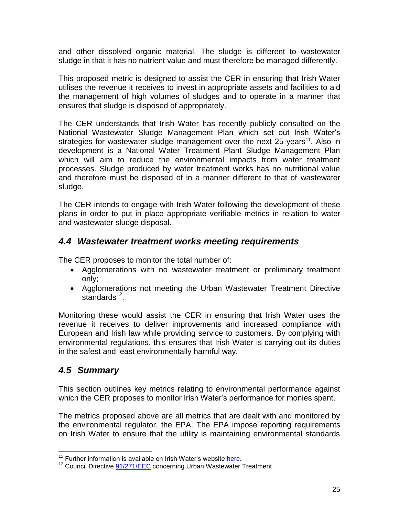and other dissolved organic material. The sludge is different to wastewater sludge in that it has no nutrient value and must therefore be managed differently.

This proposed metric is designed to assist the CER in ensuring that Irish Water utilises the revenue it receives to invest in appropriate assets and facilities to aid the management of high volumes of sludges and to operate in a manner that ensures that sludge is disposed of appropriately.

The CER understands that Irish Water has recently publicly consulted on the National Wastewater Sludge Management Plan which set out Irish Water's strategies for wastewater sludge management over the next 25 years<sup>11</sup>. Also in development is a National Water Treatment Plant Sludge Management Plan which will aim to reduce the environmental impacts from water treatment processes. Sludge produced by water treatment works has no nutritional value and therefore must be disposed of in a manner different to that of wastewater sludge.

The CER intends to engage with Irish Water following the development of these plans in order to put in place appropriate verifiable metrics in relation to water and wastewater sludge disposal.

## <span id="page-24-0"></span>*4.4 Wastewater treatment works meeting requirements*

The CER proposes to monitor the total number of:

- Agglomerations with no wastewater treatment or preliminary treatment only;
- Agglomerations not meeting the Urban Wastewater Treatment Directive standards<sup>12</sup>.

Monitoring these would assist the CER in ensuring that Irish Water uses the revenue it receives to deliver improvements and increased compliance with European and Irish law while providing service to customers. By complying with environmental regulations, this ensures that Irish Water is carrying out its duties in the safest and least environmentally harmful way.

## <span id="page-24-1"></span>*4.5 Summary*

This section outlines key metrics relating to environmental performance against which the CER proposes to monitor Irish Water's performance for monies spent.

The metrics proposed above are all metrics that are dealt with and monitored by the environmental regulator, the EPA. The EPA impose reporting requirements on Irish Water to ensure that the utility is maintaining environmental standards

<sup>&</sup>lt;sup>11</sup> Further information is available on Irish Water's website [here.](http://www.water.ie/about-us/project-and-plans/wastewater-sludge-management/)

<sup>&</sup>lt;sup>12</sup> Council Directive [91/271/EEC](http://eur-lex.europa.eu/legal-content/en/TXT/?uri=CELEX%3A31991L0271) concerning Urban Wastewater Treatment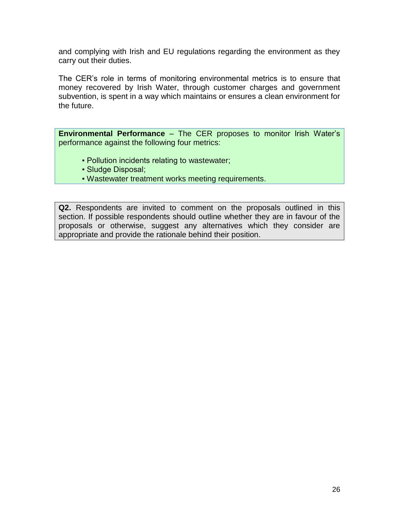and complying with Irish and EU regulations regarding the environment as they carry out their duties.

The CER's role in terms of monitoring environmental metrics is to ensure that money recovered by Irish Water, through customer charges and government subvention, is spent in a way which maintains or ensures a clean environment for the future.

**Environmental Performance** – The CER proposes to monitor Irish Water's performance against the following four metrics:

- Pollution incidents relating to wastewater;
- Sludge Disposal;
- Wastewater treatment works meeting requirements.

**Q2.** Respondents are invited to comment on the proposals outlined in this section. If possible respondents should outline whether they are in favour of the proposals or otherwise, suggest any alternatives which they consider are appropriate and provide the rationale behind their position.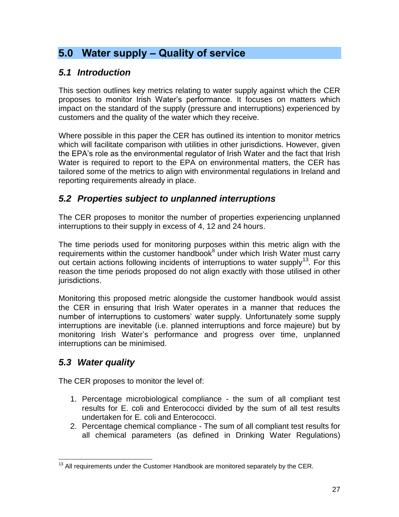# <span id="page-26-0"></span>**5.0 Water supply – Quality of service**

## <span id="page-26-1"></span>*5.1 Introduction*

This section outlines key metrics relating to water supply against which the CER proposes to monitor Irish Water's performance. It focuses on matters which impact on the standard of the supply (pressure and interruptions) experienced by customers and the quality of the water which they receive.

Where possible in this paper the CER has outlined its intention to monitor metrics which will facilitate comparison with utilities in other jurisdictions. However, given the EPA's role as the environmental regulator of Irish Water and the fact that Irish Water is required to report to the EPA on environmental matters, the CER has tailored some of the metrics to align with environmental regulations in Ireland and reporting requirements already in place.

## <span id="page-26-2"></span>*5.2 Properties subject to unplanned interruptions*

The CER proposes to monitor the number of properties experiencing unplanned interruptions to their supply in excess of 4, 12 and 24 hours.

The time periods used for monitoring purposes within this metric align with the requirements within the customer handbook $8$  under which Irish Water must carry out certain actions following incidents of interruptions to water supply<sup>13</sup>. For this reason the time periods proposed do not align exactly with those utilised in other jurisdictions.

Monitoring this proposed metric alongside the customer handbook would assist the CER in ensuring that Irish Water operates in a manner that reduces the number of interruptions to customers' water supply. Unfortunately some supply interruptions are inevitable (i.e. planned interruptions and force majeure) but by monitoring Irish Water's performance and progress over time, unplanned interruptions can be minimised.

## <span id="page-26-3"></span>*5.3 Water quality*

The CER proposes to monitor the level of:

- 1. Percentage microbiological compliance the sum of all compliant test results for E. coli and Enterococci divided by the sum of all test results undertaken for E. coli and Enterococci.
- 2. Percentage chemical compliance The sum of all compliant test results for all chemical parameters (as defined in Drinking Water Regulations)

  $13$  All requirements under the Customer Handbook are monitored separately by the CER.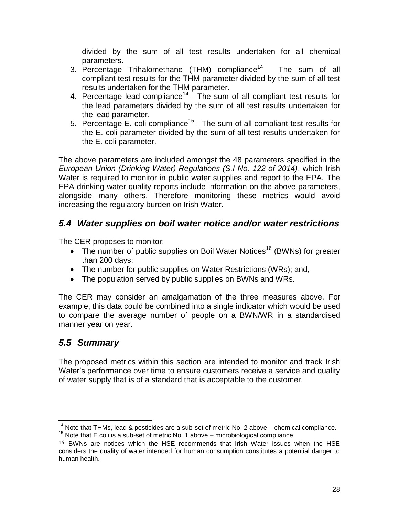<span id="page-27-2"></span>divided by the sum of all test results undertaken for all chemical parameters.

- 3. Percentage Trihalomethane (THM) compliance<sup>14</sup> The sum of all compliant test results for the THM parameter divided by the sum of all test results undertaken for the THM parameter.
- 4. Percentage lead compliance<sup>[14](#page-27-2)</sup> The sum of all compliant test results for the lead parameters divided by the sum of all test results undertaken for the lead parameter.
- 5. Percentage E. coli compliance<sup>15</sup> The sum of all compliant test results for the E. coli parameter divided by the sum of all test results undertaken for the E. coli parameter.

The above parameters are included amongst the 48 parameters specified in the *European Union (Drinking Water) Regulations (S.I No. 122 of 2014)*, which Irish Water is required to monitor in public water supplies and report to the EPA. The EPA drinking water quality reports include information on the above parameters, alongside many others. Therefore monitoring these metrics would avoid increasing the regulatory burden on Irish Water.

## <span id="page-27-0"></span>*5.4 Water supplies on boil water notice and/or water restrictions*

The CER proposes to monitor:

- The number of public supplies on Boil Water Notices<sup>16</sup> (BWNs) for greater than 200 days;
- The number for public supplies on Water Restrictions (WRs); and,
- The population served by public supplies on BWNs and WRs.

The CER may consider an amalgamation of the three measures above. For example, this data could be combined into a single indicator which would be used to compare the average number of people on a BWN/WR in a standardised manner year on year.

## <span id="page-27-1"></span>*5.5 Summary*

The proposed metrics within this section are intended to monitor and track Irish Water's performance over time to ensure customers receive a service and quality of water supply that is of a standard that is acceptable to the customer.

  $14$  Note that THMs, lead & pesticides are a sub-set of metric No. 2 above – chemical compliance.  $15$  Note that E.coli is a sub-set of metric No. 1 above – microbiological compliance.

<sup>16</sup> BWNs are notices which the HSE recommends that Irish Water issues when the HSE considers the quality of water intended for human consumption constitutes a potential danger to human health.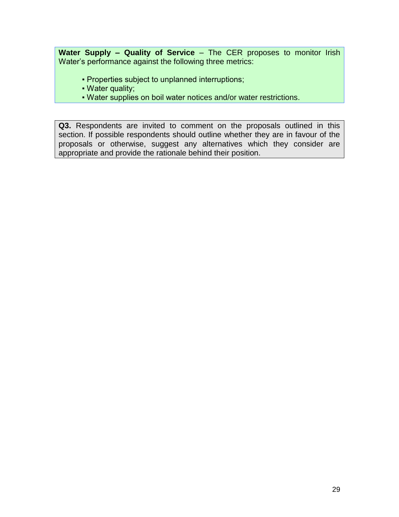**Water Supply – Quality of Service** – The CER proposes to monitor Irish Water's performance against the following three metrics:

- Properties subject to unplanned interruptions;
- Water quality;
- Water supplies on boil water notices and/or water restrictions.

**Q3.** Respondents are invited to comment on the proposals outlined in this section. If possible respondents should outline whether they are in favour of the proposals or otherwise, suggest any alternatives which they consider are appropriate and provide the rationale behind their position.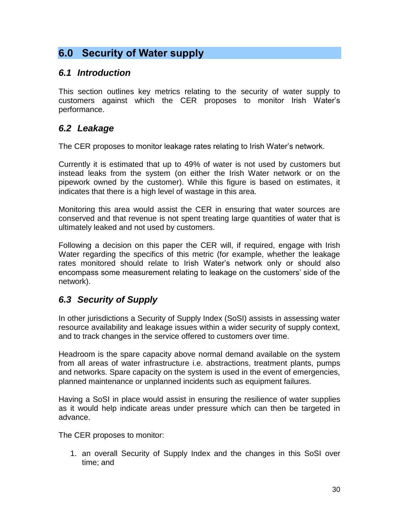# <span id="page-29-0"></span>**6.0 Security of Water supply**

### <span id="page-29-1"></span>*6.1 Introduction*

This section outlines key metrics relating to the security of water supply to customers against which the CER proposes to monitor Irish Water's performance.

## <span id="page-29-2"></span>*6.2 Leakage*

The CER proposes to monitor leakage rates relating to Irish Water's network.

Currently it is estimated that up to 49% of water is not used by customers but instead leaks from the system (on either the Irish Water network or on the pipework owned by the customer). While this figure is based on estimates, it indicates that there is a high level of wastage in this area.

Monitoring this area would assist the CER in ensuring that water sources are conserved and that revenue is not spent treating large quantities of water that is ultimately leaked and not used by customers.

Following a decision on this paper the CER will, if required, engage with Irish Water regarding the specifics of this metric (for example, whether the leakage rates monitored should relate to Irish Water's network only or should also encompass some measurement relating to leakage on the customers' side of the network).

## <span id="page-29-3"></span>*6.3 Security of Supply*

In other jurisdictions a Security of Supply Index (SoSI) assists in assessing water resource availability and leakage issues within a wider security of supply context, and to track changes in the service offered to customers over time.

Headroom is the spare capacity above normal demand available on the system from all areas of water infrastructure i.e. abstractions, treatment plants, pumps and networks. Spare capacity on the system is used in the event of emergencies, planned maintenance or unplanned incidents such as equipment failures.

Having a SoSI in place would assist in ensuring the resilience of water supplies as it would help indicate areas under pressure which can then be targeted in advance.

The CER proposes to monitor:

1. an overall Security of Supply Index and the changes in this SoSI over time; and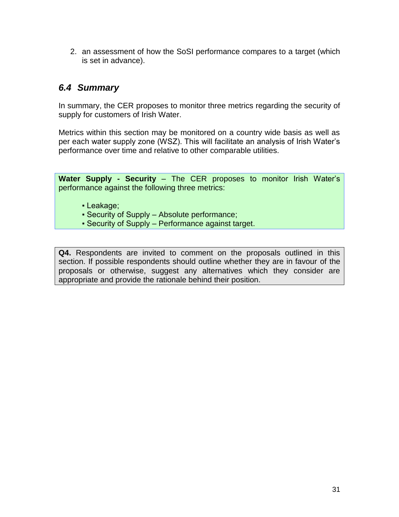2. an assessment of how the SoSI performance compares to a target (which is set in advance).

### <span id="page-30-0"></span>*6.4 Summary*

In summary, the CER proposes to monitor three metrics regarding the security of supply for customers of Irish Water.

Metrics within this section may be monitored on a country wide basis as well as per each water supply zone (WSZ). This will facilitate an analysis of Irish Water's performance over time and relative to other comparable utilities.

**Water Supply - Security** – The CER proposes to monitor Irish Water's performance against the following three metrics:

- Leakage;
- Security of Supply Absolute performance;
- Security of Supply Performance against target.

**Q4.** Respondents are invited to comment on the proposals outlined in this section. If possible respondents should outline whether they are in favour of the proposals or otherwise, suggest any alternatives which they consider are appropriate and provide the rationale behind their position.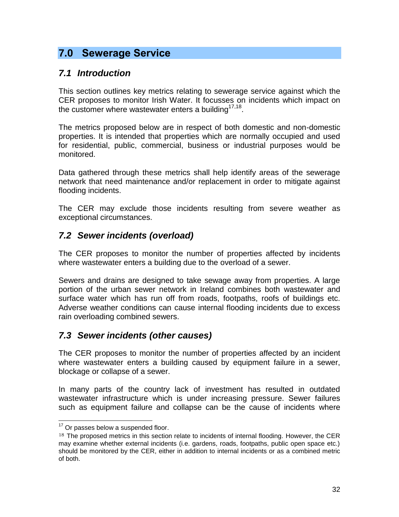# <span id="page-31-0"></span>**7.0 Sewerage Service**

## <span id="page-31-1"></span>*7.1 Introduction*

This section outlines key metrics relating to sewerage service against which the CER proposes to monitor Irish Water. It focusses on incidents which impact on the customer where wastewater enters a building $17,18$ .

The metrics proposed below are in respect of both domestic and non-domestic properties. It is intended that properties which are normally occupied and used for residential, public, commercial, business or industrial purposes would be monitored.

Data gathered through these metrics shall help identify areas of the sewerage network that need maintenance and/or replacement in order to mitigate against flooding incidents.

The CER may exclude those incidents resulting from severe weather as exceptional circumstances.

## <span id="page-31-2"></span>*7.2 Sewer incidents (overload)*

The CER proposes to monitor the number of properties affected by incidents where wastewater enters a building due to the overload of a sewer.

Sewers and drains are designed to take sewage away from properties. A large portion of the urban sewer network in Ireland combines both wastewater and surface water which has run off from roads, footpaths, roofs of buildings etc. Adverse weather conditions can cause internal flooding incidents due to excess rain overloading combined sewers.

## <span id="page-31-3"></span>*7.3 Sewer incidents (other causes)*

The CER proposes to monitor the number of properties affected by an incident where wastewater enters a building caused by equipment failure in a sewer, blockage or collapse of a sewer.

In many parts of the country lack of investment has resulted in outdated wastewater infrastructure which is under increasing pressure. Sewer failures such as equipment failure and collapse can be the cause of incidents where

  $17$  Or passes below a suspended floor.

<sup>&</sup>lt;sup>18</sup> The proposed metrics in this section relate to incidents of internal flooding. However, the CER may examine whether external incidents (i.e. gardens, roads, footpaths, public open space etc.) should be monitored by the CER, either in addition to internal incidents or as a combined metric of both.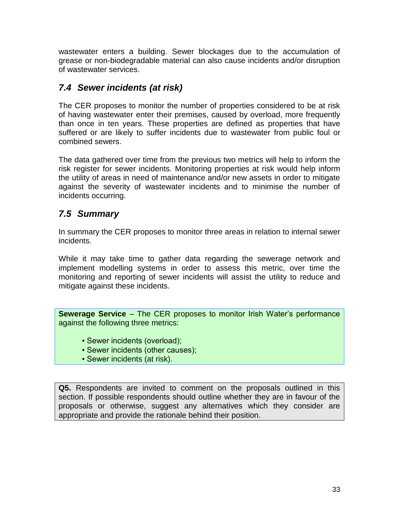wastewater enters a building. Sewer blockages due to the accumulation of grease or non-biodegradable material can also cause incidents and/or disruption of wastewater services.

## <span id="page-32-0"></span>*7.4 Sewer incidents (at risk)*

The CER proposes to monitor the number of properties considered to be at risk of having wastewater enter their premises, caused by overload, more frequently than once in ten years. These properties are defined as properties that have suffered or are likely to suffer incidents due to wastewater from public foul or combined sewers.

The data gathered over time from the previous two metrics will help to inform the risk register for sewer incidents. Monitoring properties at risk would help inform the utility of areas in need of maintenance and/or new assets in order to mitigate against the severity of wastewater incidents and to minimise the number of incidents occurring.

## <span id="page-32-1"></span>*7.5 Summary*

In summary the CER proposes to monitor three areas in relation to internal sewer incidents.

While it may take time to gather data regarding the sewerage network and implement modelling systems in order to assess this metric, over time the monitoring and reporting of sewer incidents will assist the utility to reduce and mitigate against these incidents.

**Sewerage Service** – The CER proposes to monitor Irish Water's performance against the following three metrics:

- Sewer incidents (overload);
- Sewer incidents (other causes);
- Sewer incidents (at risk).

**Q5.** Respondents are invited to comment on the proposals outlined in this section. If possible respondents should outline whether they are in favour of the proposals or otherwise, suggest any alternatives which they consider are appropriate and provide the rationale behind their position.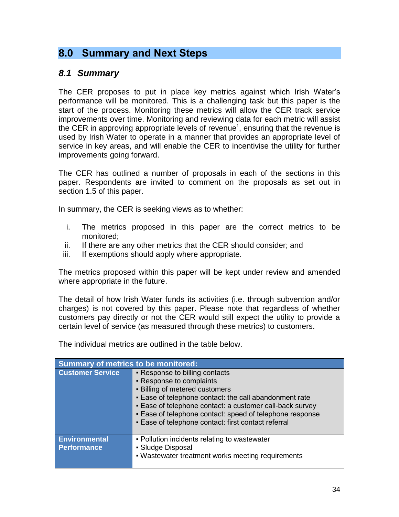## <span id="page-33-0"></span>**8.0 Summary and Next Steps**

#### <span id="page-33-1"></span>*8.1 Summary*

The CER proposes to put in place key metrics against which Irish Water's performance will be monitored. This is a challenging task but this paper is the start of the process. Monitoring these metrics will allow the CER track service improvements over time. Monitoring and reviewing data for each metric will assist the CER in approving appropriate levels of revenue<sup>[1](#page-1-0)</sup>, ensuring that the revenue is used by Irish Water to operate in a manner that provides an appropriate level of service in key areas, and will enable the CER to incentivise the utility for further improvements going forward.

The CER has outlined a number of proposals in each of the sections in this paper. Respondents are invited to comment on the proposals as set out in section 1.5 of this paper.

In summary, the CER is seeking views as to whether:

- i. The metrics proposed in this paper are the correct metrics to be monitored;
- ii. If there are any other metrics that the CER should consider; and
- iii. If exemptions should apply where appropriate.

The metrics proposed within this paper will be kept under review and amended where appropriate in the future.

The detail of how Irish Water funds its activities (i.e. through subvention and/or charges) is not covered by this paper. Please note that regardless of whether customers pay directly or not the CER would still expect the utility to provide a certain level of service (as measured through these metrics) to customers.

The individual metrics are outlined in the table below.

| <b>Summary of metrics to be monitored:</b> |                                                                                                                                                                                                                                                                                                                                       |  |
|--------------------------------------------|---------------------------------------------------------------------------------------------------------------------------------------------------------------------------------------------------------------------------------------------------------------------------------------------------------------------------------------|--|
| <b>Customer Service</b>                    | • Response to billing contacts<br>- Response to complaints<br>- Billing of metered customers<br>. Ease of telephone contact: the call abandonment rate<br>- Ease of telephone contact: a customer call-back survey<br>- Ease of telephone contact: speed of telephone response<br>- Ease of telephone contact: first contact referral |  |
| <b>Environmental</b><br><b>Performance</b> | - Pollution incidents relating to wastewater<br>• Sludge Disposal<br>- Wastewater treatment works meeting requirements                                                                                                                                                                                                                |  |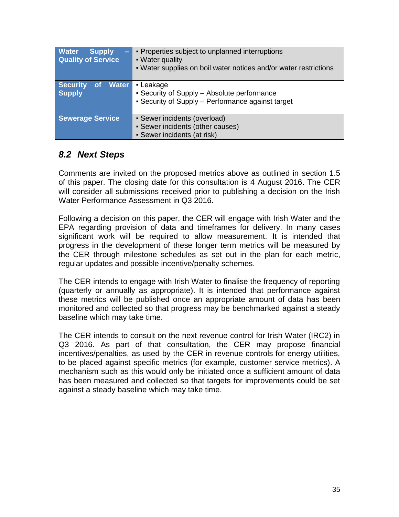| <b>Water</b><br><b>Supply</b><br>E<br><b>Quality of Service</b> | • Properties subject to unplanned interruptions<br>• Water quality<br>• Water supplies on boil water notices and/or water restrictions |
|-----------------------------------------------------------------|----------------------------------------------------------------------------------------------------------------------------------------|
| <b>Security</b><br><b>Water</b><br><b>of</b><br><b>Supply</b>   | • Leakage<br>• Security of Supply – Absolute performance<br>• Security of Supply – Performance against target                          |
| <b>Sewerage Service</b>                                         | • Sewer incidents (overload)<br>• Sewer incidents (other causes)<br>• Sewer incidents (at risk)                                        |

### <span id="page-34-0"></span>*8.2 Next Steps*

Comments are invited on the proposed metrics above as outlined in section 1.5 of this paper. The closing date for this consultation is 4 August 2016. The CER will consider all submissions received prior to publishing a decision on the Irish Water Performance Assessment in Q3 2016.

Following a decision on this paper, the CER will engage with Irish Water and the EPA regarding provision of data and timeframes for delivery. In many cases significant work will be required to allow measurement. It is intended that progress in the development of these longer term metrics will be measured by the CER through milestone schedules as set out in the plan for each metric, regular updates and possible incentive/penalty schemes.

The CER intends to engage with Irish Water to finalise the frequency of reporting (quarterly or annually as appropriate). It is intended that performance against these metrics will be published once an appropriate amount of data has been monitored and collected so that progress may be benchmarked against a steady baseline which may take time.

The CER intends to consult on the next revenue control for Irish Water (IRC2) in Q3 2016. As part of that consultation, the CER may propose financial incentives/penalties, as used by the CER in revenue controls for energy utilities, to be placed against specific metrics (for example, customer service metrics). A mechanism such as this would only be initiated once a sufficient amount of data has been measured and collected so that targets for improvements could be set against a steady baseline which may take time.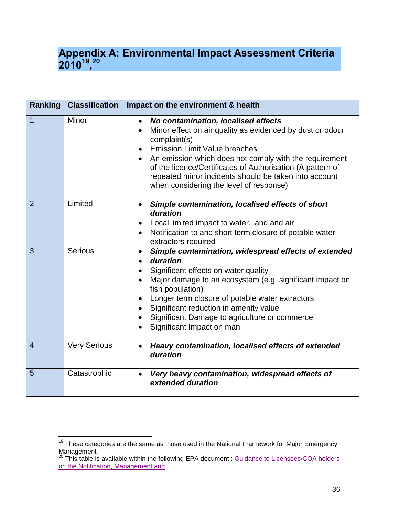## <span id="page-35-0"></span>**Appendix A: Environmental Impact Assessment Criteria 2010<sup>19</sup> , 20**

| Ranking        | <b>Classification</b> | Impact on the environment & health                                                                                                                                                                                                                                                                                                                                                                                            |
|----------------|-----------------------|-------------------------------------------------------------------------------------------------------------------------------------------------------------------------------------------------------------------------------------------------------------------------------------------------------------------------------------------------------------------------------------------------------------------------------|
| $\overline{1}$ | Minor                 | No contamination, localised effects<br>$\bullet$<br>Minor effect on air quality as evidenced by dust or odour<br>$\bullet$<br>complaint(s)<br><b>Emission Limit Value breaches</b><br>$\bullet$<br>• An emission which does not comply with the requirement<br>of the licence/Certificates of Authorisation (A pattern of<br>repeated minor incidents should be taken into account<br>when considering the level of response) |
| 2              | Limited               | Simple contamination, localised effects of short<br>$\bullet$<br>duration<br>Local limited impact to water, land and air<br>٠<br>Notification to and short term closure of potable water<br>$\bullet$<br>extractors required                                                                                                                                                                                                  |
| 3              | <b>Serious</b>        | Simple contamination, widespread effects of extended<br>$\bullet$<br>duration<br>Significant effects on water quality<br>$\bullet$<br>Major damage to an ecosystem (e.g. significant impact on<br>fish population)<br>Longer term closure of potable water extractors<br>$\bullet$<br>Significant reduction in amenity value<br>Significant Damage to agriculture or commerce<br>Significant Impact on man                    |
| $\overline{4}$ | <b>Very Serious</b>   | Heavy contamination, localised effects of extended<br>$\bullet$<br>duration                                                                                                                                                                                                                                                                                                                                                   |
| 5              | Catastrophic          | Very heavy contamination, widespread effects of<br>$\bullet$<br>extended duration                                                                                                                                                                                                                                                                                                                                             |

 $\overline{a}$ 

 $19$  These categories are the same as those used in the National Framework for Major Emergency Management

 $20$  This table is available within the following EPA document : Guidance to Licensees/COA holders [on the Notification, Management and](https://www.epa.ie/pubs/advice/licensee/Guidance%20to%20licensees.pdf)